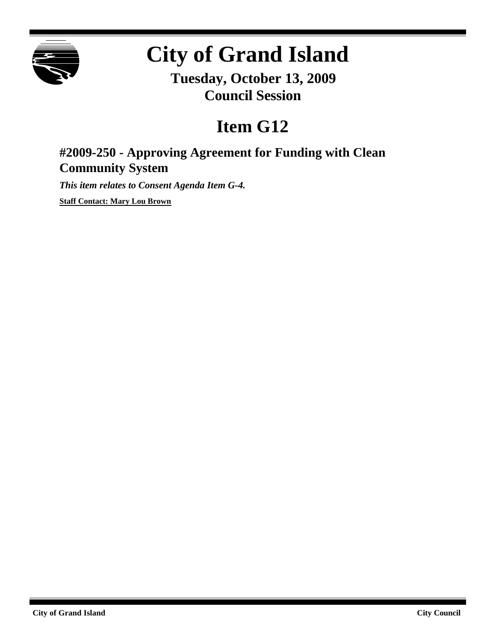

# **City of Grand Island**

**Tuesday, October 13, 2009 Council Session**

## **Item G12**

## **#2009-250 - Approving Agreement for Funding with Clean Community System**

*This item relates to Consent Agenda Item G-4.*

**Staff Contact: Mary Lou Brown**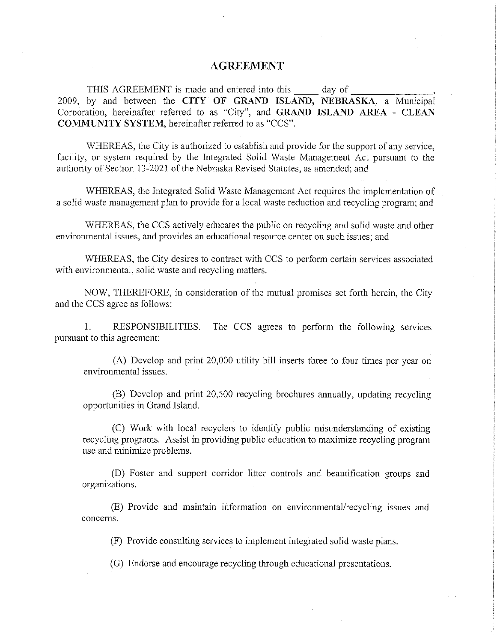#### **AGREEMENT**

 $\equiv$  day of THIS AGREEMENT is made and entered into this 2009, by and between the CITY OF GRAND ISLAND, NEBRASKA, a Municipal Corporation, hereinafter referred to as "City", and GRAND ISLAND AREA - CLEAN **COMMUNITY SYSTEM**, hereinafter referred to as "CCS".

WHEREAS, the City is authorized to establish and provide for the support of any service, facility, or system required by the Integrated Solid Waste Management Act pursuant to the authority of Section 13-2021 of the Nebraska Revised Statutes, as amended; and

WHEREAS, the Integrated Solid Waste Management Act requires the implementation of a solid waste management plan to provide for a local waste reduction and recycling program; and

WHEREAS, the CCS actively educates the public on recycling and solid waste and other environmental issues, and provides an educational resource center on such issues; and

WHEREAS, the City desires to contract with CCS to perform certain services associated with environmental, solid waste and recycling matters.

NOW, THEREFORE, in consideration of the mutual promises set forth herein, the City and the CCS agree as follows:

 $1_{-}$ RESPONSIBILITIES. The CCS agrees to perform the following services pursuant to this agreement:

(A) Develop and print 20,000 utility bill inserts three to four times per year on environmental issues.

(B) Develop and print 20,500 recycling brochures annually, updating recycling opportunities in Grand Island.

(C) Work with local recyclers to identify public misunderstanding of existing recycling programs. Assist in providing public education to maximize recycling program use and minimize problems.

(D) Foster and support corridor litter controls and beautification groups and organizations.

(E) Provide and maintain information on environmental/recycling issues and concerns.

(F) Provide consulting services to implement integrated solid waste plans.

(G) Endorse and encourage recycling through educational presentations.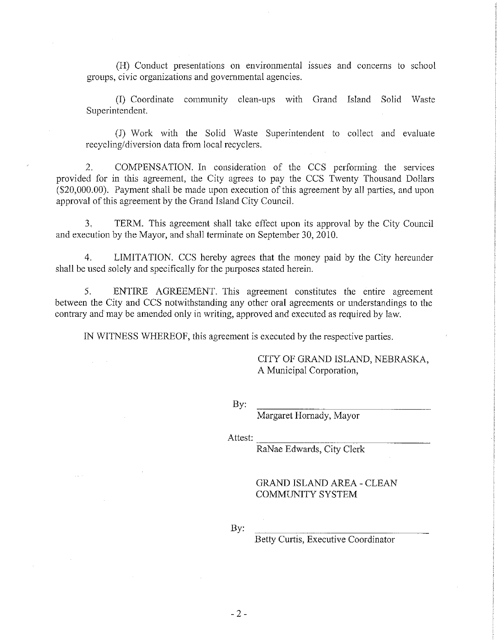(H) Conduct presentations on environmental issues and concerns to school groups, civic organizations and governmental agencies.

(I) Coordinate community clean-ups with Grand Island Solid Waste Superintendent.

(J) Work with the Solid Waste Superintendent to collect and evaluate recycling/diversion data from local recyclers.

2. COMPENSATION. In consideration of the CCS performing the services provided for in this agreement, the City agrees to pay the CCS Twenty Thousand Dollars (\$20,000.00). Payment shall be made upon execution of this agreement by all parties, and upon approval of this agreement by the Grand Island City Council.

 $3<sub>1</sub>$ TERM. This agreement shall take effect upon its approval by the City Council and execution by the Mayor, and shall terminate on September 30, 2010.

LIMITATION. CCS hereby agrees that the money paid by the City hereunder 4. shall be used solely and specifically for the purposes stated herein.

5. ENTIRE AGREEMENT. This agreement constitutes the entire agreement between the City and CCS notwithstanding any other oral agreements or understandings to the contrary and may be amended only in writing, approved and executed as required by law.

IN WITNESS WHEREOF, this agreement is executed by the respective parties.

CITY OF GRAND ISLAND, NEBRASKA, A Municipal Corporation,

By:

Margaret Hornady, Mayor

Attest:

RaNae Edwards, City Clerk

**GRAND ISLAND AREA - CLEAN COMMUNITY SYSTEM** 

By:

**Betty Curtis, Executive Coordinator**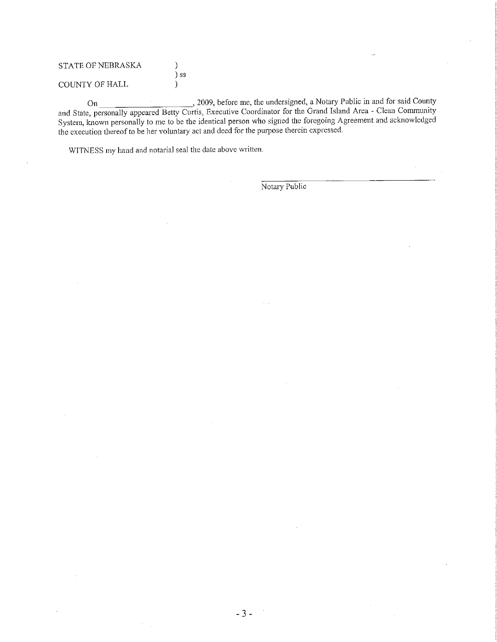| <b>STATE OF NEBRASKA</b> |                             |
|--------------------------|-----------------------------|
|                          | $\overline{\phantom{a}}$ SS |
| <b>COUNTY OF HALL</b>    |                             |

On 3009, before me, the undersigned, a Notary Public in and for said County<br>and State, personally appeared Betty Curtis, Executive Coordinator for the Grand Island Area - Clean Community System, known personally to me to be the identical person who signed the foregoing Agreement and acknowledged the execution thereof to be her voluntary act and deed for the purpose therein expressed.

WITNESS my hand and notarial seal the date above written.

Notary Public